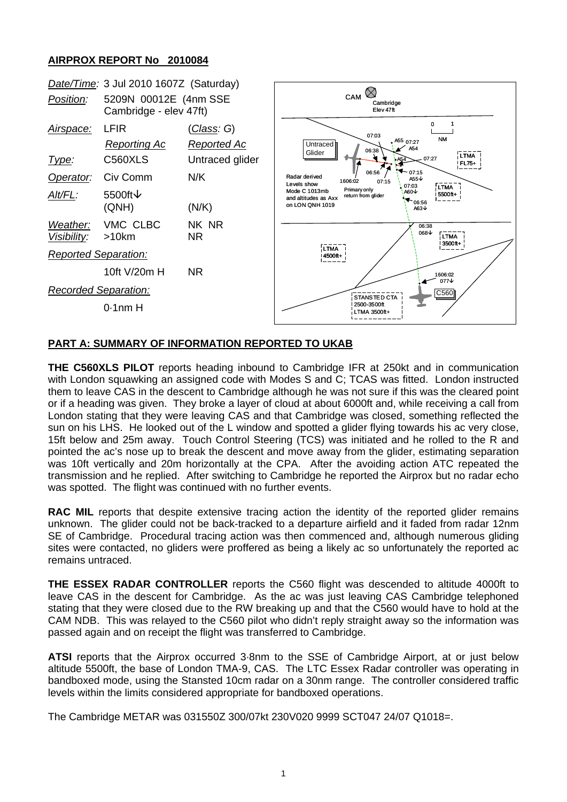## **AIRPROX REPORT No 2010084**



## **PART A: SUMMARY OF INFORMATION REPORTED TO UKAB**

**THE C560XLS PILOT** reports heading inbound to Cambridge IFR at 250kt and in communication with London squawking an assigned code with Modes S and C; TCAS was fitted. London instructed them to leave CAS in the descent to Cambridge although he was not sure if this was the cleared point or if a heading was given. They broke a layer of cloud at about 6000ft and, while receiving a call from London stating that they were leaving CAS and that Cambridge was closed, something reflected the sun on his LHS. He looked out of the L window and spotted a glider flying towards his ac very close, 15ft below and 25m away. Touch Control Steering (TCS) was initiated and he rolled to the R and pointed the ac's nose up to break the descent and move away from the glider, estimating separation was 10ft vertically and 20m horizontally at the CPA. After the avoiding action ATC repeated the transmission and he replied. After switching to Cambridge he reported the Airprox but no radar echo was spotted. The flight was continued with no further events.

**RAC MIL** reports that despite extensive tracing action the identity of the reported glider remains unknown. The glider could not be back-tracked to a departure airfield and it faded from radar 12nm SE of Cambridge. Procedural tracing action was then commenced and, although numerous gliding sites were contacted, no gliders were proffered as being a likely ac so unfortunately the reported ac remains untraced.

**THE ESSEX RADAR CONTROLLER** reports the C560 flight was descended to altitude 4000ft to leave CAS in the descent for Cambridge. As the ac was just leaving CAS Cambridge telephoned stating that they were closed due to the RW breaking up and that the C560 would have to hold at the CAM NDB. This was relayed to the C560 pilot who didn't reply straight away so the information was passed again and on receipt the flight was transferred to Cambridge.

**ATSI** reports that the Airprox occurred 3·8nm to the SSE of Cambridge Airport, at or just below altitude 5500ft, the base of London TMA-9, CAS. The LTC Essex Radar controller was operating in bandboxed mode, using the Stansted 10cm radar on a 30nm range. The controller considered traffic levels within the limits considered appropriate for bandboxed operations.

The Cambridge METAR was 031550Z 300/07kt 230V020 9999 SCT047 24/07 Q1018=.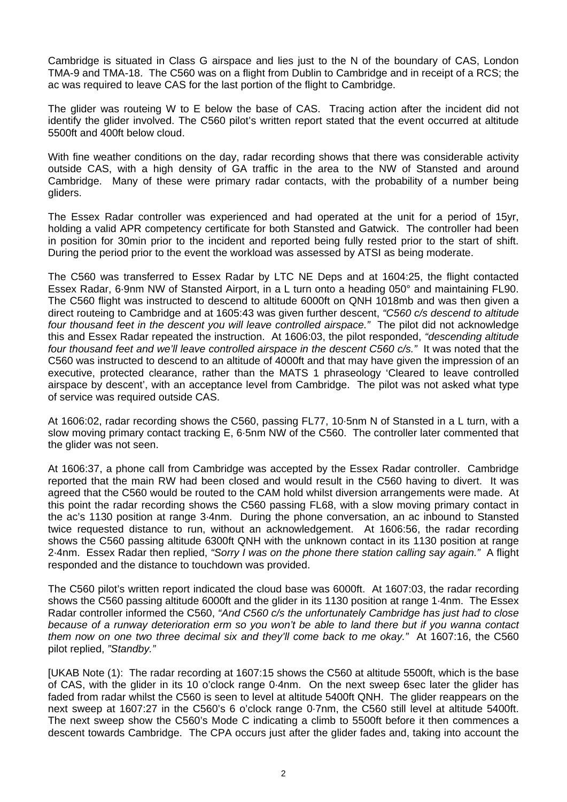Cambridge is situated in Class G airspace and lies just to the N of the boundary of CAS, London TMA-9 and TMA-18. The C560 was on a flight from Dublin to Cambridge and in receipt of a RCS; the ac was required to leave CAS for the last portion of the flight to Cambridge.

The glider was routeing W to E below the base of CAS. Tracing action after the incident did not identify the glider involved. The C560 pilot's written report stated that the event occurred at altitude 5500ft and 400ft below cloud.

With fine weather conditions on the day, radar recording shows that there was considerable activity outside CAS, with a high density of GA traffic in the area to the NW of Stansted and around Cambridge. Many of these were primary radar contacts, with the probability of a number being gliders.

The Essex Radar controller was experienced and had operated at the unit for a period of 15yr, holding a valid APR competency certificate for both Stansted and Gatwick. The controller had been in position for 30min prior to the incident and reported being fully rested prior to the start of shift. During the period prior to the event the workload was assessed by ATSI as being moderate.

The C560 was transferred to Essex Radar by LTC NE Deps and at 1604:25, the flight contacted Essex Radar, 6·9nm NW of Stansted Airport, in a L turn onto a heading 050° and maintaining FL90. The C560 flight was instructed to descend to altitude 6000ft on QNH 1018mb and was then given a direct routeing to Cambridge and at 1605:43 was given further descent, *"C560 c/s descend to altitude four thousand feet in the descent you will leave controlled airspace."* The pilot did not acknowledge this and Essex Radar repeated the instruction. At 1606:03, the pilot responded, *"descending altitude four thousand feet and we'll leave controlled airspace in the descent C560 c/s."* It was noted that the C560 was instructed to descend to an altitude of 4000ft and that may have given the impression of an executive, protected clearance, rather than the MATS 1 phraseology 'Cleared to leave controlled airspace by descent', with an acceptance level from Cambridge. The pilot was not asked what type of service was required outside CAS.

At 1606:02, radar recording shows the C560, passing FL77, 10·5nm N of Stansted in a L turn, with a slow moving primary contact tracking E, 6·5nm NW of the C560. The controller later commented that the glider was not seen.

At 1606:37, a phone call from Cambridge was accepted by the Essex Radar controller. Cambridge reported that the main RW had been closed and would result in the C560 having to divert. It was agreed that the C560 would be routed to the CAM hold whilst diversion arrangements were made. At this point the radar recording shows the C560 passing FL68, with a slow moving primary contact in the ac's 1130 position at range 3·4nm. During the phone conversation, an ac inbound to Stansted twice requested distance to run, without an acknowledgement. At 1606:56, the radar recording shows the C560 passing altitude 6300ft QNH with the unknown contact in its 1130 position at range 2·4nm. Essex Radar then replied, *"Sorry I was on the phone there station calling say again."* A flight responded and the distance to touchdown was provided.

The C560 pilot's written report indicated the cloud base was 6000ft. At 1607:03, the radar recording shows the C560 passing altitude 6000ft and the glider in its 1130 position at range 1·4nm. The Essex Radar controller informed the C560, *"And C560 c/s the unfortunately Cambridge has just had to close because of a runway deterioration erm so you won't be able to land there but if you wanna contact them now on one two three decimal six and they'll come back to me okay."* At 1607:16, the C560 pilot replied, *"Standby."* 

[UKAB Note (1): The radar recording at 1607:15 shows the C560 at altitude 5500ft, which is the base of CAS, with the glider in its 10 o'clock range 0·4nm. On the next sweep 6sec later the glider has faded from radar whilst the C560 is seen to level at altitude 5400ft QNH. The glider reappears on the next sweep at 1607:27 in the C560's 6 o'clock range 0·7nm, the C560 still level at altitude 5400ft. The next sweep show the C560's Mode C indicating a climb to 5500ft before it then commences a descent towards Cambridge. The CPA occurs just after the glider fades and, taking into account the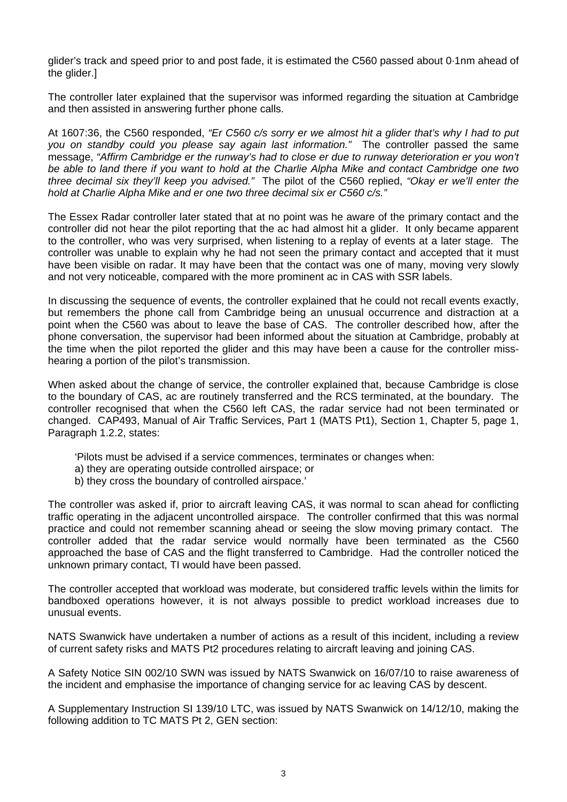glider's track and speed prior to and post fade, it is estimated the C560 passed about 0·1nm ahead of the glider.]

The controller later explained that the supervisor was informed regarding the situation at Cambridge and then assisted in answering further phone calls.

At 1607:36, the C560 responded, *"Er C560 c/s sorry er we almost hit a glider that's why I had to put you on standby could you please say again last information."* The controller passed the same message, *"Affirm Cambridge er the runway's had to close er due to runway deterioration er you won't be able to land there if you want to hold at the Charlie Alpha Mike and contact Cambridge one two three decimal six they'll keep you advised."* The pilot of the C560 replied, *"Okay er we'll enter the hold at Charlie Alpha Mike and er one two three decimal six er C560 c/s."*

The Essex Radar controller later stated that at no point was he aware of the primary contact and the controller did not hear the pilot reporting that the ac had almost hit a glider. It only became apparent to the controller, who was very surprised, when listening to a replay of events at a later stage. The controller was unable to explain why he had not seen the primary contact and accepted that it must have been visible on radar. It may have been that the contact was one of many, moving very slowly and not very noticeable, compared with the more prominent ac in CAS with SSR labels.

In discussing the sequence of events, the controller explained that he could not recall events exactly, but remembers the phone call from Cambridge being an unusual occurrence and distraction at a point when the C560 was about to leave the base of CAS. The controller described how, after the phone conversation, the supervisor had been informed about the situation at Cambridge, probably at the time when the pilot reported the glider and this may have been a cause for the controller misshearing a portion of the pilot's transmission.

When asked about the change of service, the controller explained that, because Cambridge is close to the boundary of CAS, ac are routinely transferred and the RCS terminated, at the boundary. The controller recognised that when the C560 left CAS, the radar service had not been terminated or changed. CAP493, Manual of Air Traffic Services, Part 1 (MATS Pt1), Section 1, Chapter 5, page 1, Paragraph 1.2.2, states:

- 'Pilots must be advised if a service commences, terminates or changes when:
- a) they are operating outside controlled airspace; or
- b) they cross the boundary of controlled airspace.'

The controller was asked if, prior to aircraft leaving CAS, it was normal to scan ahead for conflicting traffic operating in the adjacent uncontrolled airspace. The controller confirmed that this was normal practice and could not remember scanning ahead or seeing the slow moving primary contact. The controller added that the radar service would normally have been terminated as the C560 approached the base of CAS and the flight transferred to Cambridge. Had the controller noticed the unknown primary contact, TI would have been passed.

The controller accepted that workload was moderate, but considered traffic levels within the limits for bandboxed operations however, it is not always possible to predict workload increases due to unusual events.

NATS Swanwick have undertaken a number of actions as a result of this incident, including a review of current safety risks and MATS Pt2 procedures relating to aircraft leaving and joining CAS.

A Safety Notice SIN 002/10 SWN was issued by NATS Swanwick on 16/07/10 to raise awareness of the incident and emphasise the importance of changing service for ac leaving CAS by descent.

A Supplementary Instruction SI 139/10 LTC, was issued by NATS Swanwick on 14/12/10, making the following addition to TC MATS Pt 2, GEN section: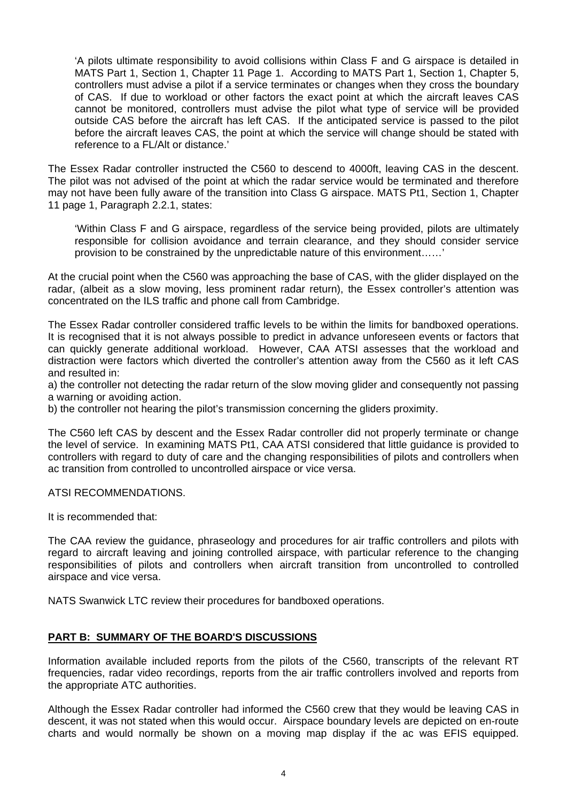'A pilots ultimate responsibility to avoid collisions within Class F and G airspace is detailed in MATS Part 1, Section 1, Chapter 11 Page 1. According to MATS Part 1, Section 1, Chapter 5, controllers must advise a pilot if a service terminates or changes when they cross the boundary of CAS. If due to workload or other factors the exact point at which the aircraft leaves CAS cannot be monitored, controllers must advise the pilot what type of service will be provided outside CAS before the aircraft has left CAS. If the anticipated service is passed to the pilot before the aircraft leaves CAS, the point at which the service will change should be stated with reference to a FL/Alt or distance.'

The Essex Radar controller instructed the C560 to descend to 4000ft, leaving CAS in the descent. The pilot was not advised of the point at which the radar service would be terminated and therefore may not have been fully aware of the transition into Class G airspace. MATS Pt1, Section 1, Chapter 11 page 1, Paragraph 2.2.1, states:

'Within Class F and G airspace, regardless of the service being provided, pilots are ultimately responsible for collision avoidance and terrain clearance, and they should consider service provision to be constrained by the unpredictable nature of this environment……'

At the crucial point when the C560 was approaching the base of CAS, with the glider displayed on the radar, (albeit as a slow moving, less prominent radar return), the Essex controller's attention was concentrated on the ILS traffic and phone call from Cambridge.

The Essex Radar controller considered traffic levels to be within the limits for bandboxed operations. It is recognised that it is not always possible to predict in advance unforeseen events or factors that can quickly generate additional workload. However, CAA ATSI assesses that the workload and distraction were factors which diverted the controller's attention away from the C560 as it left CAS and resulted in:

a) the controller not detecting the radar return of the slow moving glider and consequently not passing a warning or avoiding action.

b) the controller not hearing the pilot's transmission concerning the gliders proximity.

The C560 left CAS by descent and the Essex Radar controller did not properly terminate or change the level of service. In examining MATS Pt1, CAA ATSI considered that little guidance is provided to controllers with regard to duty of care and the changing responsibilities of pilots and controllers when ac transition from controlled to uncontrolled airspace or vice versa.

#### ATSI RECOMMENDATIONS.

It is recommended that:

The CAA review the guidance, phraseology and procedures for air traffic controllers and pilots with regard to aircraft leaving and joining controlled airspace, with particular reference to the changing responsibilities of pilots and controllers when aircraft transition from uncontrolled to controlled airspace and vice versa.

NATS Swanwick LTC review their procedures for bandboxed operations.

## **PART B: SUMMARY OF THE BOARD'S DISCUSSIONS**

Information available included reports from the pilots of the C560, transcripts of the relevant RT frequencies, radar video recordings, reports from the air traffic controllers involved and reports from the appropriate ATC authorities.

Although the Essex Radar controller had informed the C560 crew that they would be leaving CAS in descent, it was not stated when this would occur. Airspace boundary levels are depicted on en-route charts and would normally be shown on a moving map display if the ac was EFIS equipped.